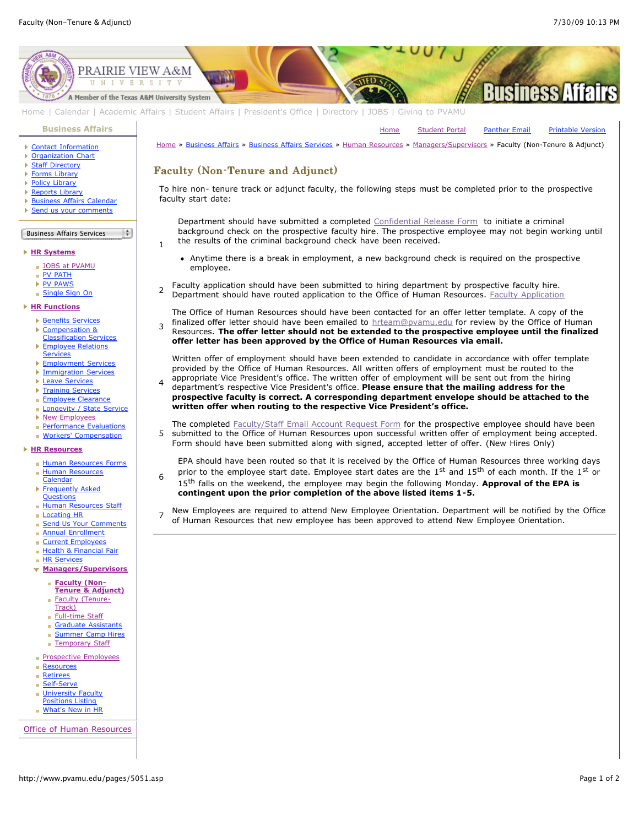[Home](http://www.pvamu.edu/pages/1.asp) [Student Portal](http://panthertracks.pvamu.edu/) [Panther Email](http://www.pvamu.edu/pages/1740.asp) [Printable Version](http://www.pvamu.edu/print/5051.asp)



[Home](http://www.pvamu.edu/pages/1.asp) | [Calendar](http://www.pvamu.edu/pages/222.asp) | [Academic Affairs](http://www.pvamu.edu/pages/116.asp) | [Student Affairs](http://www.pvamu.edu/pages/1441.asp) | [President's Office](http://www.pvamu.edu/pages/117.asp) | [Directory](http://www.pvamu.edu/pages/225.asp) | [JOBS](http://www.pvamu.edu/pages/118.asp) | [Giving to PVAMU](http://www.pvamu.edu/giving)

**[Business Affairs](http://www.pvamu.edu/pages/102.asp)**

- ▶ [Contact Information](http://www.pvamu.edu/pages/527.asp)
- **[Organization Chart](http://www.pvamu.edu/pages/528.asp)**
- **[Staff Directory](http://www.pvamu.edu/pages/529.asp)**
- ▶ [Forms Library](http://www.pvamu.edu/pages/531.asp) ▶ [Policy Library](http://www.pvamu.edu/pages/532.asp)
- 
- ▶ [Reports Library](http://www.pvamu.edu/pages/533.asp) **[Business Affairs Calendar](http://www.pvamu.edu/pages/534.asp)**
- [Send us your comments](http://www.pvamu.edu/pages/535.asp)
- 

## Business Affairs Services l ÷

1

3

6

## **[HR Systems](http://www.pvamu.edu/pages/555.asp)**

- **[JOBS at PVAMU](http://www.pvamu.edu/pages/118.asp)**
- **[PV PATH](http://www.pvamu.edu/pages/1996.asp)**
- [PV PAWS](http://www.pvamu.edu/pages/1997.asp)
- [Single Sign On](http://www.pvamu.edu/pages/684.asp)

## **[HR Functions](http://www.pvamu.edu/pages/555.asp)**

- **[Benefits Services](http://www.pvamu.edu/pages/685.asp)**
- Þ Compensation &
- [Classification Services](http://www.pvamu.edu/pages/689.asp)
- [Employee Relations](http://www.pvamu.edu/pages/690.asp) **Services**
- K [Employment Services](http://www.pvamu.edu/pages/676.asp)
- [Immigration Services](http://www.pvamu.edu/pages/694.asp)
- **[Leave Services](http://www.pvamu.edu/pages/687.asp)**
- **[Training Services](http://www.pvamu.edu/pages/693.asp)**
- **[Employee Clearance](http://www.pvamu.edu/pages/3032.asp)**
- [Longevity / State Service](http://www.pvamu.edu/pages/3578.asp)
- ▶ [New Employees](http://www.pvamu.edu/pages/1998.asp)
- **[Performance Evaluations](http://www.pvamu.edu/pages/3943.asp)**
- **[Workers' Compensation](http://www.pvamu.edu/pages/2016.asp)**

## **[HR Resources](http://www.pvamu.edu/pages/555.asp)**

- [Human Resources Forms](http://www.pvamu.edu/pages/696.asp)
- **[Human Resources](http://www.pvamu.edu/pages/2000.asp)** Calendar
- **[Frequently Asked](http://www.pvamu.edu/pages/680.asp)**
- **Questions** [Human Resources Staff](http://www.pvamu.edu/pages/675.asp)
- [Locating HR](http://www.pvamu.edu/pages/681.asp)
- [Send Us Your Comments](http://www.pvamu.edu/pages/1829.asp)
- **[Annual Enrollment](http://www.pvamu.edu/pages/5696.asp)**
- [Current Employees](http://www.pvamu.edu/pages/4707.asp)
- [Health & Financial Fair](http://www.pvamu.edu/pages/5122.asp)
- **[HR Services](http://www.pvamu.edu/pages/5322.asp)**

Ì.

- **[Managers/Supervisors](http://www.pvamu.edu/pages/3942.asp)**
	- - **Faculty (Non-[Tenure & Adjunct\)](http://www.pvamu.edu/pages/5051.asp)**
		- [Faculty \(Tenure-](http://www.pvamu.edu/pages/5049.asp)
		- Track)
	- **[Full-time Staff](http://www.pvamu.edu/pages/5048.asp)**
	- [Graduate Assistants](http://www.pvamu.edu/pages/5052.asp)
	- **[Summer Camp Hires](http://www.pvamu.edu/pages/5588.asp)**
	- **[Temporary Staff](http://www.pvamu.edu/pages/5050.asp)**
- **[Prospective Employees](http://www.pvamu.edu/pages/4724.asp)**
- **[Resources](http://www.pvamu.edu/pages/5324.asp)**
- 
- **[Retirees](http://www.pvamu.edu/pages/4735.asp)**
- [Self-Serve](http://www.pvamu.edu/pages/5323.asp)
- **[University Faculty](http://www.pvamu.edu/pages/3397.asp)**
- Positions Listing
- **[What's New in HR](http://www.pvamu.edu/pages/5201.asp)**

[Office of Human Resources](http://www.pvamu.edu/pages/555.asp)

Faculty (Non-Tenure and Adjunct) Faculty (Non-Tenure and Adjunct) To hire non- tenure track or adjunct faculty, the following steps must be completed prior to the prospective faculty start date:

[Home](http://www.pvamu.edu/pages/1.asp) » [Business Affairs](http://www.pvamu.edu/pages/102.asp) » [Business Affairs Services](http://www.pvamu.edu/pages/530.asp) » [Human Resources](http://www.pvamu.edu/pages/555.asp) » [Managers/Supervisors](http://www.pvamu.edu/pages/3942.asp) » Faculty (Non-Tenure & Adjunct)

Department should have submitted a completed [Confidential Release Form](http://www.pvamu.edu/files/human_resources/docs/Background%20Check.pdf) to initiate a criminal background check on the prospective faculty hire. The prospective employee may not begin working until the results of the criminal background check have been received.

- Anytime there is a break in employment, a new background check is required on the prospective employee.
- 2 Faculty application should have been submitted to hiring department by prospective faculty hire. Department should have routed application to the Office of Human Resources. [Faculty Application](http://www.pvamu.edu/files/human_resources/docs/Faculty%20Application.pdf)

The Office of Human Resources should have been contacted for an offer letter template. A copy of the finalized offer letter should have been emailed to [hrteam@pvamu.edu](mailto:hrteam@pvamu.edu?subject=Offer%20Letters) for review by the Office of Human Resources. **The offer letter should not be extended to the prospective employee until the finalized offer letter has been approved by the Office of Human Resources via email.**

Written offer of employment should have been extended to candidate in accordance with offer template provided by the Office of Human Resources. All written offers of employment must be routed to the appropriate Vice President's office. The written offer of employment will be sent out from the hiring

4 department's respective Vice President's office. **Please ensure that the mailing address for the prospective faculty is correct. A corresponding department envelope should be attached to the written offer when routing to the respective Vice President's office.**

5 The completed [Faculty/Staff Email Account Request Form](http://www.pvamu.edu/files/human_resources/docs/Email%20Account.pdf) for the prospective employee should have been submitted to the Office of Human Resources upon successful written offer of employment being accepted. Form should have been submitted along with signed, accepted letter of offer. (New Hires Only)

EPA should have been routed so that it is received by the Office of Human Resources three working days prior to the employee start date. Employee start dates are the 1st and 15<sup>th</sup> of each month. If the 1st or 15th falls on the weekend, the employee may begin the following Monday. **Approval of the EPA is**

**contingent upon the prior completion of the above listed items 1-5.**

7 New Employees are required to attend New Employee Orientation. Department will be notified by the Office of Human Resources that new employee has been approved to attend New Employee Orientation.